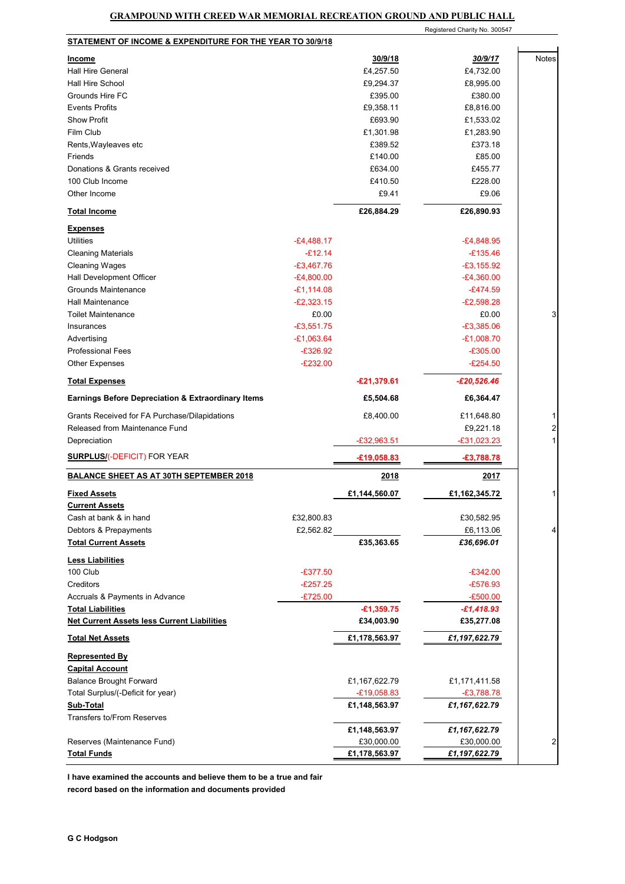|                                                                                |              |                            | Registered Charity No. 300547 |                         |
|--------------------------------------------------------------------------------|--------------|----------------------------|-------------------------------|-------------------------|
| STATEMENT OF INCOME & EXPENDITURE FOR THE YEAR TO 30/9/18                      |              |                            |                               |                         |
| <b>Income</b>                                                                  |              | 30/9/18                    | 30/9/17                       | <b>Notes</b>            |
| <b>Hall Hire General</b>                                                       |              | £4,257.50                  | £4,732.00                     |                         |
| Hall Hire School                                                               |              | £9,294.37                  | £8,995.00                     |                         |
| Grounds Hire FC                                                                |              | £395.00                    | £380.00                       |                         |
| <b>Events Profits</b>                                                          |              | £9,358.11                  | £8,816.00                     |                         |
| <b>Show Profit</b>                                                             |              | £693.90                    | £1,533.02                     |                         |
| Film Club                                                                      |              | £1,301.98                  | £1,283.90                     |                         |
| Rents, Wayleaves etc                                                           |              | £389.52                    | £373.18                       |                         |
| Friends                                                                        |              | £140.00                    | £85.00                        |                         |
| Donations & Grants received                                                    |              | £634.00                    | £455.77                       |                         |
| 100 Club Income                                                                |              | £410.50                    | £228.00                       |                         |
| Other Income                                                                   |              | £9.41                      | £9.06                         |                         |
|                                                                                |              |                            |                               |                         |
| <b>Total Income</b>                                                            |              | £26,884.29                 | £26,890.93                    |                         |
| <b>Expenses</b>                                                                |              |                            |                               |                         |
| <b>Utilities</b>                                                               | $-E4,488.17$ |                            | $-E4,848.95$                  |                         |
| <b>Cleaning Materials</b>                                                      | $-E12.14$    |                            | $-£135.46$                    |                         |
| <b>Cleaning Wages</b>                                                          | $-£3,467.76$ |                            | $-£3,155.92$                  |                         |
| Hall Development Officer                                                       | $-E4,800.00$ |                            | $-E4,360.00$                  |                         |
| <b>Grounds Maintenance</b>                                                     | $-£1,114.08$ |                            | $-E474.59$                    |                         |
| <b>Hall Maintenance</b>                                                        | $-E2,323.15$ |                            | $-E2,598.28$                  |                         |
| <b>Toilet Maintenance</b>                                                      | £0.00        |                            | £0.00                         | 3                       |
| Insurances                                                                     | $-£3,551.75$ |                            | $-E3,385.06$                  |                         |
| Advertising                                                                    | $-£1,063.64$ |                            | $-E1,008.70$                  |                         |
| <b>Professional Fees</b>                                                       | $-£326.92$   |                            | $-£305.00$                    |                         |
| <b>Other Expenses</b>                                                          | $-E232.00$   |                            | $-E254.50$                    |                         |
| <b>Total Expenses</b>                                                          |              | $-£21,379.61$              | $-E20,526.46$                 |                         |
| <b>Earnings Before Depreciation &amp; Extraordinary Items</b>                  |              | £5,504.68                  | £6,364.47                     |                         |
| Grants Received for FA Purchase/Dilapidations                                  |              | £8,400.00                  | £11,648.80                    | 1                       |
| Released from Maintenance Fund                                                 |              |                            | £9,221.18                     | $\overline{\mathbf{c}}$ |
| Depreciation                                                                   |              | $-£32,963.51$              | $-£31,023.23$                 | 1                       |
| <b>SURPLUS/(-DEFICIT) FOR YEAR</b>                                             |              | $-£19,058.83$              | $-£3,788.78$                  |                         |
| <b>BALANCE SHEET AS AT 30TH SEPTEMBER 2018</b>                                 |              | 2018                       | 2017                          |                         |
| <b>Fixed Assets</b>                                                            |              | £1,144,560.07              | £1,162,345.72                 |                         |
| <b>Current Assets</b>                                                          |              |                            |                               |                         |
| Cash at bank & in hand                                                         | £32,800.83   |                            | £30,582.95                    |                         |
| Debtors & Prepayments                                                          | £2,562.82    |                            | £6,113.06                     | 4                       |
| <b>Total Current Assets</b>                                                    |              | £35,363.65                 | £36,696.01                    |                         |
|                                                                                |              |                            |                               |                         |
| <b>Less Liabilities</b>                                                        |              |                            |                               |                         |
| 100 Club                                                                       | $-£377.50$   |                            | $-£342.00$                    |                         |
| Creditors                                                                      | $-E257.25$   |                            | $-£576.93$                    |                         |
| Accruals & Payments in Advance                                                 | $-£725.00$   |                            | $-E500.00$                    |                         |
| <b>Total Liabilities</b><br><b>Net Current Assets less Current Liabilities</b> |              | $-£1,359.75$<br>£34,003.90 | $-£1,418.93$<br>£35,277.08    |                         |
| <b>Total Net Assets</b>                                                        |              | £1,178,563.97              | £1,197,622.79                 |                         |
|                                                                                |              |                            |                               |                         |
| Represented By                                                                 |              |                            |                               |                         |
| <b>Capital Account</b>                                                         |              |                            |                               |                         |
| <b>Balance Brought Forward</b>                                                 |              | £1,167,622.79              | £1,171,411.58                 |                         |
| Total Surplus/(-Deficit for year)                                              |              | $-E19,058.83$              | $-£3,788.78$                  |                         |
| Sub-Total<br><b>Transfers to/From Reserves</b>                                 |              | £1,148,563.97              | £1,167,622.79                 |                         |
|                                                                                |              | £1,148,563.97              | £1,167,622.79                 |                         |
| Reserves (Maintenance Fund)                                                    |              | £30,000.00                 | £30,000.00                    | $\overline{2}$          |
| <b>Total Funds</b>                                                             |              | £1,178,563.97              | £1,197,622.79                 |                         |
|                                                                                |              |                            |                               |                         |

**I have examined the accounts and believe them to be a true and fair record based on the information and documents provided**